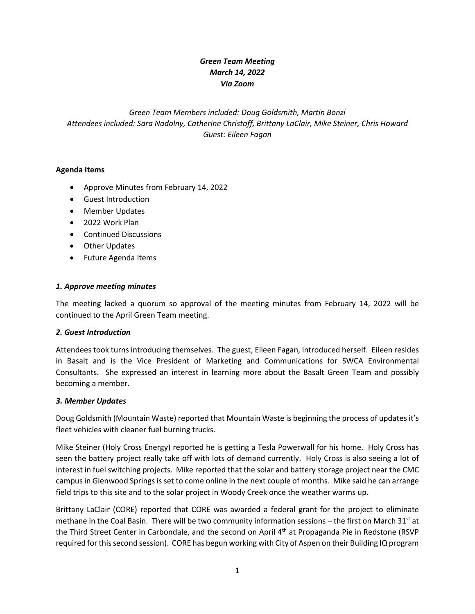## *Green Team Meeting March 14, 2022 Via Zoom*

# *Green Team Members included: Doug Goldsmith, Martin Bonzi Attendees included: Sara Nadolny, Catherine Christoff, Brittany LaClair, Mike Steiner, Chris Howard Guest: Eileen Fagan*

## **Agenda Items**

- Approve Minutes from February 14, 2022
- Guest Introduction
- Member Updates
- 2022 Work Plan
- Continued Discussions
- Other Updates
- Future Agenda Items

#### *1. Approve meeting minutes*

The meeting lacked a quorum so approval of the meeting minutes from February 14, 2022 will be continued to the April Green Team meeting.

### *2. Guest Introduction*

Attendees took turns introducing themselves. The guest, Eileen Fagan, introduced herself. Eileen resides in Basalt and is the Vice President of Marketing and Communications for SWCA Environmental Consultants. She expressed an interest in learning more about the Basalt Green Team and possibly becoming a member.

### *3. Member Updates*

Doug Goldsmith (Mountain Waste) reported that Mountain Waste is beginning the process of updates it's fleet vehicles with cleaner fuel burning trucks.

Mike Steiner (Holy Cross Energy) reported he is getting a Tesla Powerwall for his home. Holy Cross has seen the battery project really take off with lots of demand currently. Holy Cross is also seeing a lot of interest in fuel switching projects. Mike reported that the solar and battery storage project near the CMC campus in Glenwood Springs is set to come online in the next couple of months. Mike said he can arrange field trips to this site and to the solar project in Woody Creek once the weather warms up.

Brittany LaClair (CORE) reported that CORE was awarded a federal grant for the project to eliminate methane in the Coal Basin. There will be two community information sessions – the first on March 31<sup>st</sup> at the Third Street Center in Carbondale, and the second on April 4<sup>th</sup> at Propaganda Pie in Redstone (RSVP required for this second session). CORE has begun working with City of Aspen on their Building IQ program